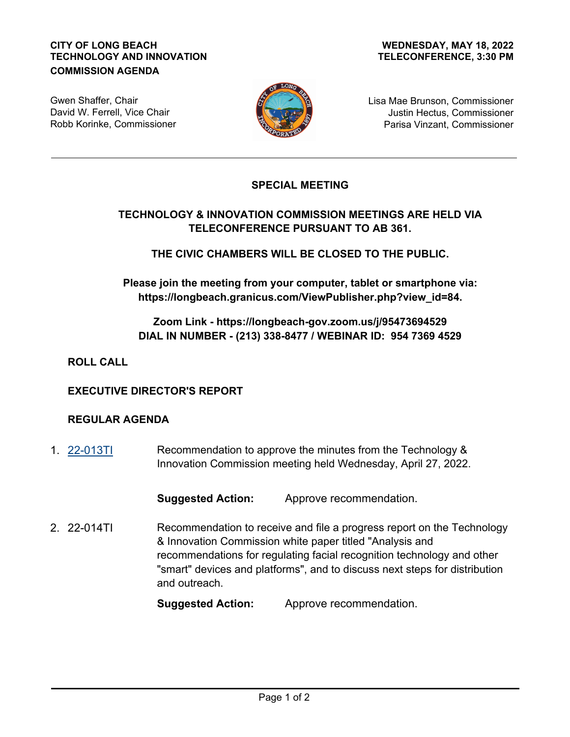#### **CITY OF LONG BEACH TECHNOLOGY AND INNOVATION COMMISSION AGENDA**

#### **TELECONFERENCE, 3:30 PM WEDNESDAY, MAY 18, 2022**

Gwen Shaffer, Chair David W. Ferrell, Vice Chair Robb Korinke, Commissioner



Lisa Mae Brunson, Commissioner Justin Hectus, Commissioner Parisa Vinzant, Commissioner

## **SPECIAL MEETING**

# **TECHNOLOGY & INNOVATION COMMISSION MEETINGS ARE HELD VIA TELECONFERENCE PURSUANT TO AB 361.**

**THE CIVIC CHAMBERS WILL BE CLOSED TO THE PUBLIC.**

**Please join the meeting from your computer, tablet or smartphone via: https://longbeach.granicus.com/ViewPublisher.php?view\_id=84.**

### **Zoom Link - https://longbeach-gov.zoom.us/j/95473694529 DIAL IN NUMBER - (213) 338-8477 / WEBINAR ID: 954 7369 4529**

**ROLL CALL**

#### **EXECUTIVE DIRECTOR'S REPORT**

#### **REGULAR AGENDA**

Recommendation to approve the minutes from the Technology & Innovation Commission meeting held Wednesday, April 27, 2022. 1. [22-013TI](http://longbeach.legistar.com/gateway.aspx?M=L&ID=239637)

**Suggested Action:** Approve recommendation.

Recommendation to receive and file a progress report on the Technology & Innovation Commission white paper titled "Analysis and recommendations for regulating facial recognition technology and other "smart" devices and platforms", and to discuss next steps for distribution and outreach. 2. 22-014TI

**Suggested Action:** Approve recommendation.